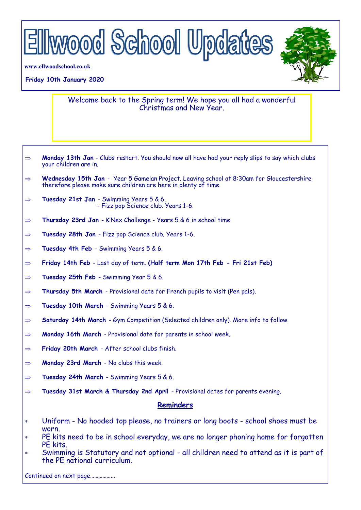

**www.ellwoodschool.co.uk**

## **Friday 10th January 2020**

Welcome back to the Spring term! We hope you all had a wonderful Christmas and New Year.

- $\Rightarrow$  **Monday 13th Jan** Clubs restart. You should now all have had your reply slips to say which clubs your children are in.
- $\Rightarrow$  **Wednesday 15th Jan** Year 5 Gamelan Project. Leaving school at 8:30am for Gloucestershire therefore please make sure children are here in plenty of time.
- **Tuesday 21st Jan**  Swimming Years 5 & 6. - Fizz pop Science club. Years 1-6.
- $\Rightarrow$  Thursday 23rd Jan K'Nex Challenge Years 5 & 6 in school time.
- **Tuesday 28th Jan**  Fizz pop Science club. Years 1-6.
- $\Rightarrow$  Tuesday 4th Feb Swimming Years 5 & 6.
- **Friday 14th Feb**  Last day of term. **(Half term Mon 17th Feb - Fri 21st Feb)**
- $\Rightarrow$  **Tuesday 25th Feb** Swimming Year 5 & 6.
- $\Rightarrow$  **Thursday 5th March** Provisional date for French pupils to visit (Pen pals).
- **Tuesday 10th March**  Swimming Years 5 & 6.
- **Saturday 14th March**  Gym Competition (Selected children only). More info to follow.
- **Monday 16th March**  Provisional date for parents in school week.
- **Friday 20th March**  After school clubs finish.
- **Monday 23rd March**  No clubs this week.
- **Tuesday 24th March**  Swimming Years 5 & 6.
- **Tuesday 31st March & Thursday 2nd April**  Provisional dates for parents evening.

## **Reminders**

- Uniform No hooded top please, no trainers or long boots school shoes must be worn.
- PE kits need to be in school everyday, we are no longer phoning home for forgotten PE kits.
- Swimming is Statutory and not optional all children need to attend as it is part of the PE national curriculum.

Continued on next page……………...